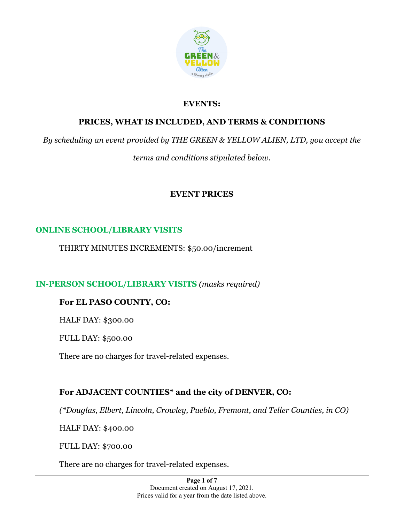

## **EVENTS:**

## **PRICES, WHAT IS INCLUDED, AND TERMS & CONDITIONS**

*By scheduling an event provided by THE GREEN & YELLOW ALIEN, LTD, you accept the* 

*terms and conditions stipulated below.*

# **EVENT PRICES**

# **ONLINE SCHOOL/LIBRARY VISITS**

THIRTY MINUTES INCREMENTS: \$50.00/increment

**IN-PERSON SCHOOL/LIBRARY VISITS** *(masks required)*

## **For EL PASO COUNTY, CO:**

HALF DAY: \$300.00

FULL DAY: \$500.00

There are no charges for travel-related expenses.

# **For ADJACENT COUNTIES\* and the city of DENVER, CO:**

*(\*Douglas, Elbert, Lincoln, Crowley, Pueblo, Fremont, and Teller Counties, in CO)*

HALF DAY: \$400.00

FULL DAY: \$700.00

There are no charges for travel-related expenses.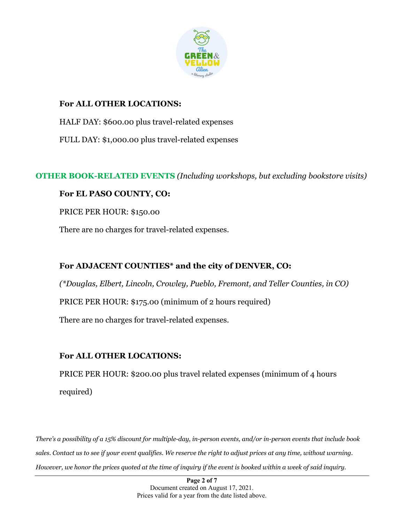

## **For ALL OTHER LOCATIONS:**

HALF DAY: \$600.00 plus travel-related expenses

FULL DAY: \$1,000.00 plus travel-related expenses

**OTHER BOOK-RELATED EVENTS** *(Including workshops, but excluding bookstore visits)*

## **For EL PASO COUNTY, CO:**

PRICE PER HOUR: \$150.00

There are no charges for travel-related expenses.

# **For ADJACENT COUNTIES\* and the city of DENVER, CO:**

*(\*Douglas, Elbert, Lincoln, Crowley, Pueblo, Fremont, and Teller Counties, in CO)*

PRICE PER HOUR: \$175.00 (minimum of 2 hours required)

There are no charges for travel-related expenses.

# **For ALL OTHER LOCATIONS:**

PRICE PER HOUR: \$200.00 plus travel related expenses (minimum of 4 hours required)

*There's a possibility of a 15% discount for multiple-day, in-person events, and/or in-person events that include book sales. Contact us to see if your event qualifies. We reserve the right to adjust prices at any time, without warning. However, we honor the prices quoted at the time of inquiry if the event is booked within a week of said inquiry.*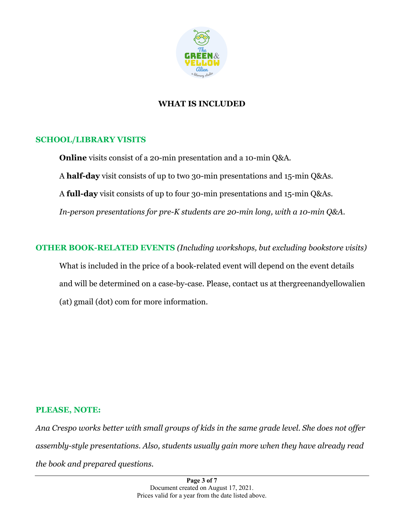

## **WHAT IS INCLUDED**

### **SCHOOL/LIBRARY VISITS**

**Online** visits consist of a 20-min presentation and a 10-min Q&A. A **half-day** visit consists of up to two 30-min presentations and 15-min Q&As. A **full-day** visit consists of up to four 30-min presentations and 15-min Q&As. *In-person presentations for pre-K students are 20-min long, with a 10-min Q&A.*

**OTHER BOOK-RELATED EVENTS** *(Including workshops, but excluding bookstore visits)* What is included in the price of a book-related event will depend on the event details and will be determined on a case-by-case. Please, contact us at thergreenandyellowalien (at) gmail (dot) com for more information.

#### **PLEASE, NOTE:**

*Ana Crespo works better with small groups of kids in the same grade level. She does not offer assembly-style presentations. Also, students usually gain more when they have already read the book and prepared questions.*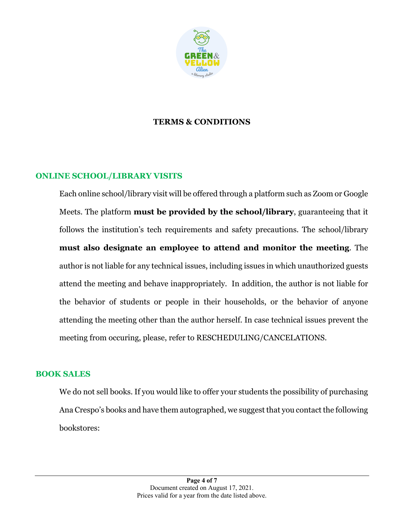

### **TERMS & CONDITIONS**

#### **ONLINE SCHOOL/LIBRARY VISITS**

Each online school/library visit will be offered through a platform such as Zoom or Google Meets. The platform **must be provided by the school/library**, guaranteeing that it follows the institution's tech requirements and safety precautions. The school/library **must also designate an employee to attend and monitor the meeting**. The author is not liable for any technical issues, including issues in which unauthorized guests attend the meeting and behave inappropriately. In addition, the author is not liable for the behavior of students or people in their households, or the behavior of anyone attending the meeting other than the author herself. In case technical issues prevent the meeting from occuring, please, refer to RESCHEDULING/CANCELATIONS.

#### **BOOK SALES**

We do not sell books. If you would like to offer your students the possibility of purchasing Ana Crespo's books and have them autographed, we suggest that you contact the following bookstores: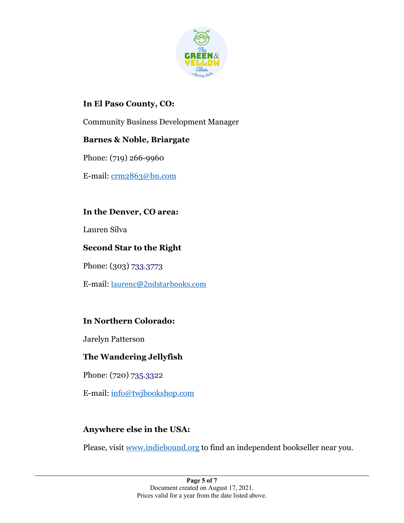

## **In El Paso County, CO:**

Community Business Development Manager

## **Barnes & Noble, Briargate**

Phone: (719) 266-9960

E-mail: crm2863@bn.com

**In the Denver, CO area:**

Lauren Silva

## **Second Star to the Right**

Phone: (303) 733.3773

E-mail: laurenc@2ndstarbooks.com

# **In Northern Colorado:**

Jarelyn Patterson

# **The Wandering Jellyfish**

Phone: (720) 735.3322

E-mail: info@twjbookshop.com

# **Anywhere else in the USA:**

Please, visit www.indiebound.org to find an independent bookseller near you.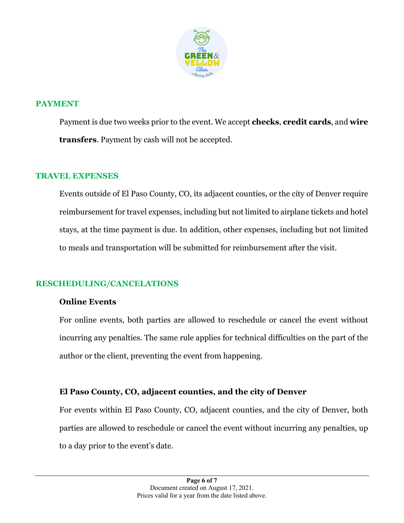

### **PAYMENT**

Payment is due two weeks prior to the event. We accept **checks**, **credit cards**, and **wire transfers**. Payment by cash will not be accepted.

### **TRAVEL EXPENSES**

Events outside of El Paso County, CO, its adjacent counties, or the city of Denver require reimbursement for travel expenses, including but not limited to airplane tickets and hotel stays, at the time payment is due. In addition, other expenses, including but not limited to meals and transportation will be submitted for reimbursement after the visit.

## **RESCHEDULING/CANCELATIONS**

#### **Online Events**

For online events, both parties are allowed to reschedule or cancel the event without incurring any penalties. The same rule applies for technical difficulties on the part of the author or the client, preventing the event from happening.

## **El Paso County, CO, adjacent counties, and the city of Denver**

For events within El Paso County, CO, adjacent counties, and the city of Denver, both parties are allowed to reschedule or cancel the event without incurring any penalties, up to a day prior to the event's date.